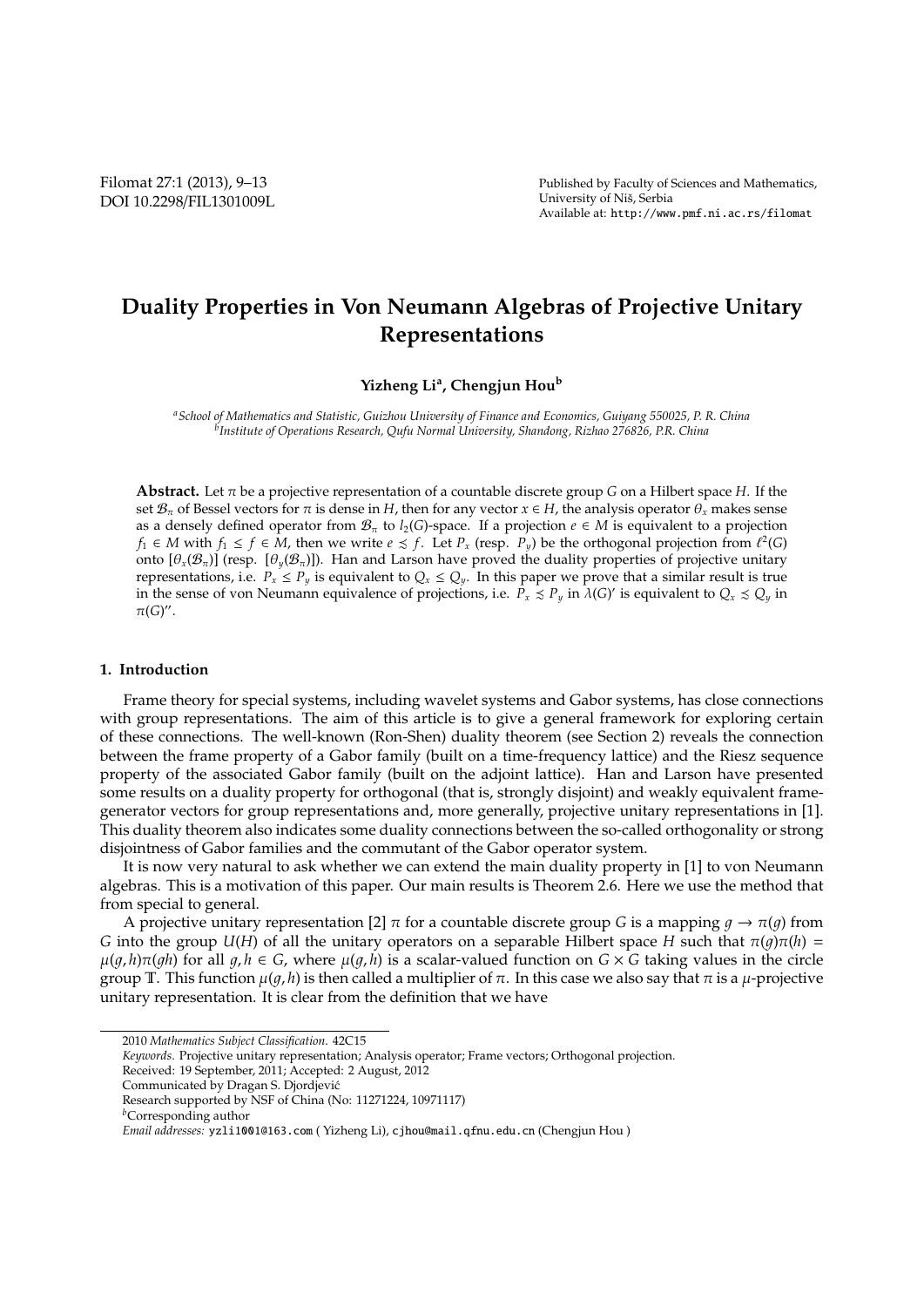## **Duality Properties in Von Neumann Algebras of Projective Unitary Representations**

**Yizheng Li<sup>a</sup> , Chengjun Hou<sup>b</sup>**

*<sup>a</sup>School of Mathematics and Statistic, Guizhou University of Finance and Economics, Guiyang 550025, P. R. China b Institute of Operations Research, Qufu Normal University, Shandong, Rizhao 276826, P.R. China*

**Abstract.** Let  $\pi$  be a projective representation of a countable discrete group *G* on a Hilbert space *H*. If the set  $\mathcal{B}_{\pi}$  of Bessel vectors for  $\pi$  is dense in *H*, then for any vector  $x \in H$ , the analysis operator  $\theta_x$  makes sense as a densely defined operator from  $\mathcal{B}_{\pi}$  to *l*<sub>2</sub>(*G*)-space. If a projection  $e \in M$  is equivalent to a projection *f*<sub>1</sub> ∈ *M* with *f*<sub>1</sub> ≤ *f* ∈ *M*, then we write  $e \le f$ . Let  $P_x$  (resp.  $P_y$ ) be the orthogonal projection from  $\ell^2(G)$ onto  $[\theta_x(\mathcal{B}_\pi)]$  (resp.  $[\theta_y(\mathcal{B}_\pi)]$ ). Han and Larson have proved the duality properties of projective unitary representations, i.e.  $P_x \leq P_y$  is equivalent to  $Q_x \leq Q_y$ . In this paper we prove that a similar result is true in the sense of von Neumann equivalence of projections, i.e.  $P_x \leq P_y$  in  $\lambda(G)'$  is equivalent to  $Q_x \leq Q_y$  in  $\pi(G)$ ".

## **1. Introduction**

Frame theory for special systems, including wavelet systems and Gabor systems, has close connections with group representations. The aim of this article is to give a general framework for exploring certain of these connections. The well-known (Ron-Shen) duality theorem (see Section 2) reveals the connection between the frame property of a Gabor family (built on a time-frequency lattice) and the Riesz sequence property of the associated Gabor family (built on the adjoint lattice). Han and Larson have presented some results on a duality property for orthogonal (that is, strongly disjoint) and weakly equivalent framegenerator vectors for group representations and, more generally, projective unitary representations in [1]. This duality theorem also indicates some duality connections between the so-called orthogonality or strong disjointness of Gabor families and the commutant of the Gabor operator system.

It is now very natural to ask whether we can extend the main duality property in [1] to von Neumann algebras. This is a motivation of this paper. Our main results is Theorem 2.6. Here we use the method that from special to general.

A projective unitary representation [2]  $\pi$  for a countable discrete group *G* is a mapping  $q \to \pi(q)$  from *G* into the group *U*(*H*) of all the unitary operators on a separable Hilbert space *H* such that  $\pi(q)\pi(h)$  =  $\mu(q, h)\pi(qh)$  for all  $q, h \in G$ , where  $\mu(q, h)$  is a scalar-valued function on  $G \times G$  taking values in the circle group T. This function  $\mu(q, h)$  is then called a multiplier of π. In this case we also say that π is a  $\mu$ -projective unitary representation. It is clear from the definition that we have

<sup>2010</sup> *Mathematics Subject Classification*. 42C15

*Keywords*. Projective unitary representation; Analysis operator; Frame vectors; Orthogonal projection.

Received: 19 September, 2011; Accepted: 2 August, 2012

Communicated by Dragan S. Djordjevic´

Research supported by NSF of China (No: 11271224, 10971117)

*<sup>b</sup>*Corresponding author

*Email addresses:* yzli1001@163.com ( Yizheng Li), cjhou@mail.qfnu.edu.cn (Chengjun Hou )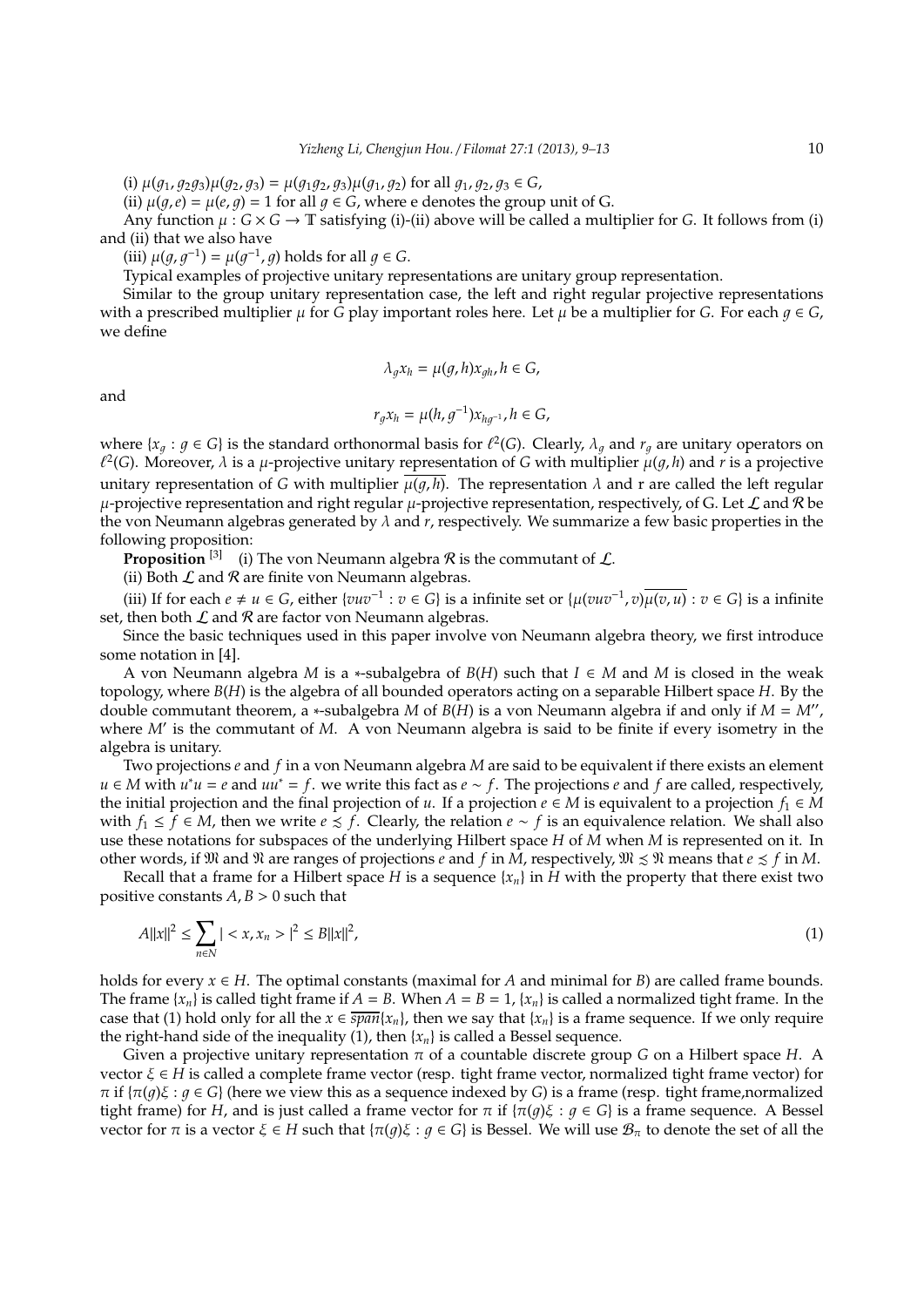(i)  $\mu(q_1, q_2q_3)\mu(q_2, q_3) = \mu(q_1q_2, q_3)\mu(q_1, q_2)$  for all  $q_1, q_2, q_3 \in G$ ,

(ii)  $\mu(q,e) = \mu(e,q) = 1$  for all  $q \in G$ , where e denotes the group unit of G.

Any function  $\mu$ :  $G \times G \to \mathbb{T}$  satisfying (i)-(ii) above will be called a multiplier for *G*. It follows from (i) and (ii) that we also have

(iii)  $\mu(g, g^{-1}) = \mu(g^{-1}, g)$  holds for all  $g \in G$ .

Typical examples of projective unitary representations are unitary group representation.

Similar to the group unitary representation case, the left and right regular projective representations with a prescribed multiplier  $\mu$  for *G* play important roles here. Let  $\mu$  be a multiplier for *G*. For each  $q \in G$ , we define

$$
\lambda_g x_h = \mu(g, h) x_{gh}, h \in G,
$$

and

$$
r_gx_h=\mu(h,g^{-1})x_{hg^{-1}}, h\in G,
$$

where  $\{x_q : g \in G\}$  is the standard orthonormal basis for  $\ell^2(G)$ . Clearly,  $\lambda_q$  and  $r_q$  are unitary operators on  $\ell^2(G)$ . Moreover,  $\lambda$  is a  $\mu$ -projective unitary representation of G with multiplier  $\mu(g,h)$  and  $r$  is a projective unitary representation of *G* with multiplier  $\mu(q, h)$ . The representation  $\lambda$  and r are called the left regular  $\mu$ -projective representation and right regular  $\mu$ -projective representation, respectively, of G. Let  $\mathcal L$  and  $\mathcal R$  be the von Neumann algebras generated by  $\lambda$  and  $r$ , respectively. We summarize a few basic properties in the following proposition:

**Proposition** <sup>[3]</sup> (i) The von Neumann algebra  $\mathcal{R}$  is the commutant of  $\mathcal{L}$ .

(ii) Both  $\mathcal L$  and  $\mathcal R$  are finite von Neumann algebras.

(iii) If for each *e* ≠ *u* ∈ *G*, either {*vuv*<sup>−1</sup> : *v* ∈ *G*} is a infinite set or { $\mu(vuv^{-1}, v)\overline{\mu(v, u)}$  : *v* ∈ *G*} is a infinite set, then both  $\mathcal L$  and  $\mathcal R$  are factor von Neumann algebras.

Since the basic techniques used in this paper involve von Neumann algebra theory, we first introduce some notation in [4].

A von Neumann algebra *M* is a ∗-subalgebra of *B*(*H*) such that *I* ∈ *M* and *M* is closed in the weak topology, where *B*(*H*) is the algebra of all bounded operators acting on a separable Hilbert space *H*. By the double commutant theorem, a ∗-subalgebra *M* of *B*(*H*) is a von Neumann algebra if and only if *M* = *M*′′ , where *M*′ is the commutant of *M*. A von Neumann algebra is said to be finite if every isometry in the algebra is unitary.

Two projections *e* and *f* in a von Neumann algebra *M* are said to be equivalent if there exists an element *u* ∈ *M* with *u* <sup>∗</sup>*u* = *e* and *uu*<sup>∗</sup> = *f*. we write this fact as *e* ∼ *f*. The projections *e* and *f* are called, respectively, the initial projection and the final projection of *u*. If a projection  $e \in M$  is equivalent to a projection  $f_1 \in M$ with  $f_1$  ≤  $f$  ∈ *M*, then we write  $e \le f$ . Clearly, the relation  $e \sim f$  is an equivalence relation. We shall also use these notations for subspaces of the underlying Hilbert space *H* of *M* when *M* is represented on it. In other words, if  $\mathfrak{M}$  and  $\mathfrak{N}$  are ranges of projections *e* and *f* in *M*, respectively,  $\mathfrak{M} \leq \mathfrak{N}$  means that  $e \leq f$  in *M*.

Recall that a frame for a Hilbert space *H* is a sequence  $\{x_n\}$  in *H* with the property that there exist two positive constants  $A, B > 0$  such that

$$
A||x||^2 \le \sum_{n \in N} |x, x_n| \le |x||^2, \tag{1}
$$

holds for every  $x \in H$ . The optimal constants (maximal for *A* and minimal for *B*) are called frame bounds. The frame  $\{x_n\}$  is called tight frame if  $A = B$ . When  $A = B = 1$ ,  $\{x_n\}$  is called a normalized tight frame. In the case that (1) hold only for all the  $x \in \overline{span}\{x_n\}$ , then we say that  $\{x_n\}$  is a frame sequence. If we only require the right-hand side of the inequality (1), then  $\{x_n\}$  is called a Bessel sequence.

Given a projective unitary representation π of a countable discrete group *G* on a Hilbert space *H*. A vector ξ ∈ *H* is called a complete frame vector (resp. tight frame vector, normalized tight frame vector) for  $π$  if  ${π(q)ξ : q ∈ G}$  (here we view this as a sequence indexed by *G*) is a frame (resp. tight frame,normalized tight frame) for *H*, and is just called a frame vector for  $\pi$  if  $\{\pi(q)\xi : q \in G\}$  is a frame sequence. A Bessel vector for π is a vector  $\xi \in H$  such that  $\{\pi(g)\xi : g \in G\}$  is Bessel. We will use  $\mathcal{B}_\pi$  to denote the set of all the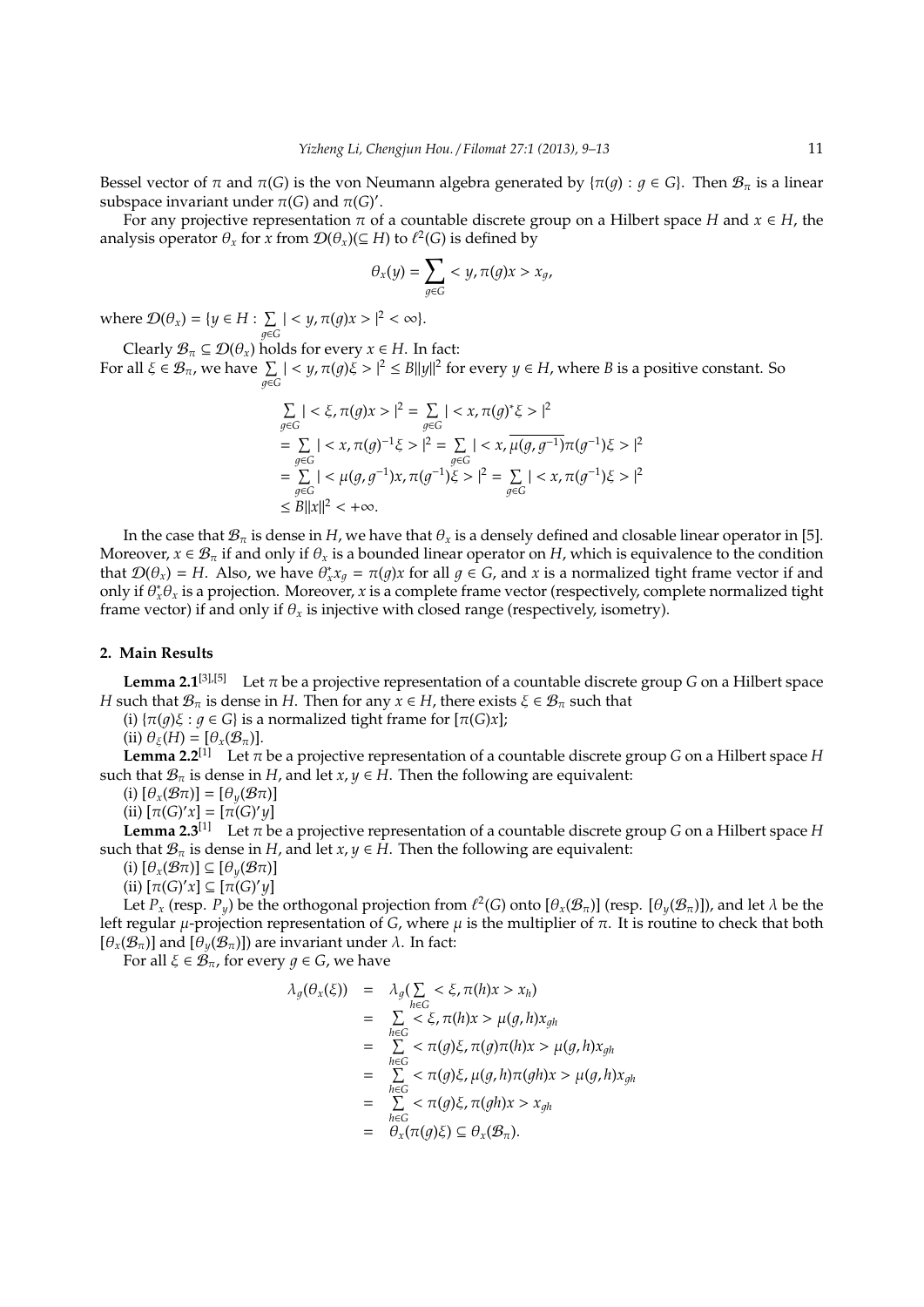Bessel vector of  $\pi$  and  $\pi(G)$  is the von Neumann algebra generated by  $\{\pi(q): q \in G\}$ . Then  $\mathcal{B}_{\pi}$  is a linear subspace invariant under  $\pi(G)$  and  $\pi(G)'$ .

For any projective representation  $\pi$  of a countable discrete group on a Hilbert space *H* and  $x \in H$ , the analysis operator  $\theta_x$  for *x* from  $\mathcal{D}(\theta_x) (\subseteq H)$  to  $\ell^2(G)$  is defined by

$$
\theta_x(y) = \sum_{g \in G} \langle y, \pi(g)x \rangle x_g,
$$

where  $\mathcal{D}(\theta_x) = \{y \in H : \sum$  $\sum_{g \in G}$  | < *y*,  $\pi(g)x >$  |<sup>2</sup> < ∞}.

Clearly  $\mathcal{B}_{\pi} \subseteq \mathcal{D}(\theta_x)$  holds for every  $x \in H$ . In fact: For all  $\xi \in \mathcal{B}_{\pi}$ , we have  $\sum_{g \in G} |< y, \pi(g)\xi > |^2 \leq B||y||^2$  for every  $y \in H$ , where *B* is a positive constant. So

$$
\sum_{g \in G} | < \xi, \pi(g)x > |^2 = \sum_{g \in G} | < x, \pi(g)^* \xi > |^2
$$
\n
$$
= \sum_{g \in G} | < x, \pi(g)^{-1} \xi > |^2 = \sum_{g \in G} | < x, \mu(g, g^{-1})\pi(g^{-1})\xi > |^2
$$
\n
$$
= \sum_{g \in G} | < \mu(g, g^{-1})x, \pi(g^{-1})\xi > |^2 = \sum_{g \in G} | < x, \pi(g^{-1})\xi > |^2
$$
\n
$$
\leq B ||x||^2 < +\infty.
$$

In the case that  $B_\pi$  is dense in *H*, we have that  $\theta_x$  is a densely defined and closable linear operator in [5]. Moreover,  $x \in \mathcal{B}_{\pi}$  if and only if  $\theta_x$  is a bounded linear operator on *H*, which is equivalence to the condition that  $\mathcal{D}(\theta_x) = H$ . Also, we have  $\theta_x^* x_g = \pi(g)x$  for all  $g \in G$ , and  $x$  is a normalized tight frame vector if and only if  $\theta^*_x \theta_x$  is a projection. Moreover, *x* is a complete frame vector (respectively, complete normalized tight frame vector) if and only if  $\theta_x$  is injective with closed range (respectively, isometry).

## **2. Main Results**

**Lemma 2.1**<sup>[3],[5]</sup> Let  $\pi$  be a projective representation of a countable discrete group *G* on a Hilbert space *H* such that  $\mathcal{B}_{\pi}$  is dense in *H*. Then for any  $x \in H$ , there exists  $\xi \in \mathcal{B}_{\pi}$  such that

(i)  $\{\pi(q)\xi : q \in G\}$  is a normalized tight frame for  $[\pi(G)x]$ ;

(ii)  $\theta_{\xi}(H) = [\theta_{x}(\mathcal{B}_{\pi})].$ 

**Lemma 2.2**<sup>[1]</sup> Let  $\pi$  be a projective representation of a countable discrete group *G* on a Hilbert space *H* such that  $\mathcal{B}_{\pi}$  is dense in *H*, and let *x*,  $y \in H$ . Then the following are equivalent:

(i)  $[\theta_x(\mathcal{B}\pi)] = [\theta_y(\mathcal{B}\pi)]$ 

 $(iii)$   $[\pi(G)'x] = [\pi(G)'y]$ 

**Lemma 2.3**<sup>[1]</sup> Let  $\pi$  be a projective representation of a countable discrete group *G* on a Hilbert space *H* such that  $\mathcal{B}_{\pi}$  is dense in *H*, and let *x*, *y*  $\in$  *H*. Then the following are equivalent:

(i)  $[\theta_x(\mathcal{B}\pi)] \subseteq [\theta_y(\mathcal{B}\pi)]$ 

 $(iii)$   $[\pi(G)'x] \subseteq [\pi(G)'y]$ 

Let  $P_x$  (resp.  $P_y$ ) be the orthogonal projection from  $\ell^2(G)$  onto  $[\theta_x(\mathcal{B}_\pi)]$  (resp.  $[\theta_y(\mathcal{B}_\pi)]$ ), and let  $\lambda$  be the left regular  $\mu$ -projection representation of *G*, where  $\mu$  is the multiplier of π. It is routine to check that both  $[\theta_x(\mathcal{B}_\pi)]$  and  $[\theta_y(\mathcal{B}_\pi)]$  are invariant under  $\lambda$ . In fact:

For all  $\xi \in \mathcal{B}_{\pi}$ , for every  $q \in G$ , we have

$$
\begin{array}{rcl}\n\lambda_g(\theta_x(\xi)) & = & \lambda_g(\sum_{h \in G} < \xi, \pi(h)x > x_h) \\
& = & \sum_{h \in G} < \xi, \pi(h)x > \mu(g, h)x_{gh} \\
& = & \sum_{h \in G} < \pi(g)\xi, \pi(g)\pi(h)x > \mu(g, h)x_{gh} \\
& = & \sum_{h \in G} < \pi(g)\xi, \mu(g, h)\pi(gh)x > \mu(g, h)x_{gh} \\
& = & \sum_{h \in G} < \pi(g)\xi, \pi(gh)x > x_{gh} \\
& = & \theta_x(\pi(g)\xi) \subseteq \theta_x(\mathcal{B}_\pi).\n\end{array}
$$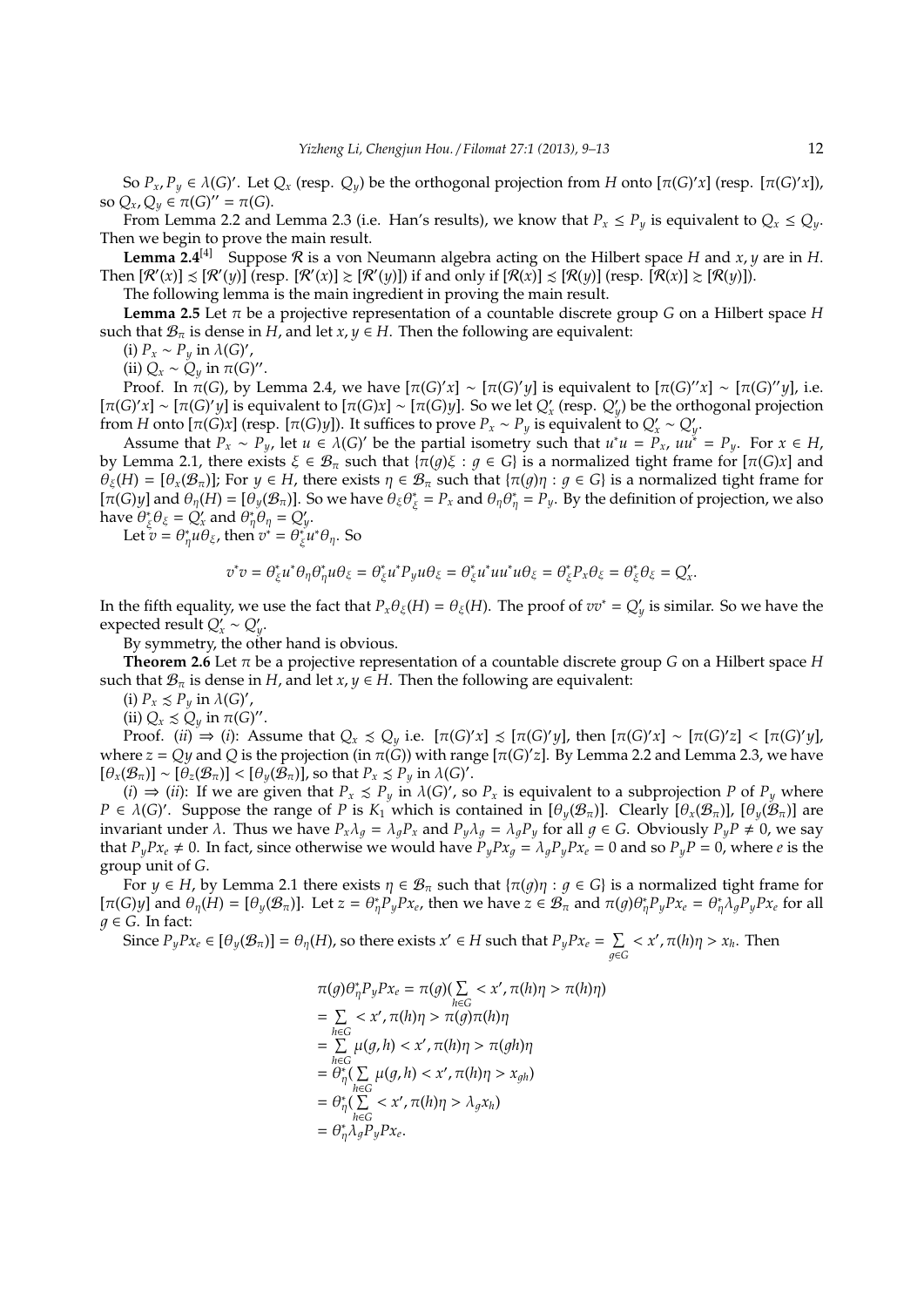So  $P_x$ ,  $P_y \in \lambda(G)'$ . Let  $Q_x$  (resp.  $Q_y$ ) be the orthogonal projection from *H* onto  $[\pi(G)'x]$  (resp.  $[\pi(G)'x]$ ), so  $Q_x, Q_y \in \pi(G)'' = \pi(G)$ .

From Lemma 2.2 and Lemma 2.3 (i.e. Han's results), we know that  $P_x \leq P_y$  is equivalent to  $Q_x \leq Q_y$ . Then we begin to prove the main result.

**Lemma 2.4**<sup>[4]</sup> Suppose R is a von Neumann algebra acting on the Hilbert space *H* and *x*, *y* are in *H*. Then  $[\mathcal{R}'(x)] \precsim [\mathcal{R}'(y)]$  (resp.  $[\mathcal{R}'(x)] \gtrsim [\mathcal{R}'(y)]$ ) if and only if  $[\mathcal{R}(x)] \precsim [\mathcal{R}(y)]$  (resp.  $[\mathcal{R}(x)] \gtrsim [\mathcal{R}(y)]$ ).

The following lemma is the main ingredient in proving the main result.

**Lemma 2.5** Let  $\pi$  be a projective representation of a countable discrete group *G* on a Hilbert space *H* such that  $\mathcal{B}_{\pi}$  is dense in *H*, and let *x*,  $y \in H$ . Then the following are equivalent:

(i)  $P_x \sim P_y$  in  $\lambda(G)'$ ,

(ii)  $Q_x \sim Q_y$  in  $\pi(G)$ ".

Proof. In  $\pi(G)$ , by Lemma 2.4, we have  $[ \pi(G)'x ] ∼ [π(G)'y ]$  is equivalent to  $[π(G)'x] ∼ [π(G)'y]$ , i.e.  $[\pi(G)'x] \sim [\pi(G)'y]$  is equivalent to  $[\pi(G)x] \sim [\pi(G)y]$ . So we let  $Q'_x$  (resp.  $Q'_y$ ) be the orthogonal projection from *H* onto [ $\pi$ (*G*)*x*] (resp. [ $\pi$ (*G*)*y*]). It suffices to prove  $P_x \sim P_y$  is equivalent to  $Q'_x \sim Q'_y$ .

Assume that  $P_x \sim P_y$ , let  $u \in \lambda(G)'$  be the partial isometry such that  $u^*u = P_x$ ,  $uu^* = P_y$ . For  $x \in H$ , by Lemma 2.1, there exists  $\xi \in \mathcal{B}_{\pi}$  such that  $\{\pi(g)\xi : g \in G\}$  is a normalized tight frame for  $[\pi(G)x]$  and  $\theta_{\xi}(H) = [\theta_{x}(\mathcal{B}_{\pi})]$ ; For  $y \in H$ , there exists  $\eta \in \mathcal{B}_{\pi}$  such that  $\{\pi(g)\eta : g \in G\}$  is a normalized tight frame for  $[\pi(G)y]$  and  $\theta_{\eta}(H) = [\theta_y(\mathcal{B}_{\pi})]$ . So we have  $\theta_{\xi} \theta_{\xi}^*$  $\zeta_{\xi}$  =  $P_x$  and  $\theta_{\eta} \theta_{\eta}^* = P_y$ . By the definition of projection, we also have  $\tilde{\theta}^*_s$  $\mathcal{E}_{\xi}^* \theta_{\xi} = Q'_x$  and  $\theta_{\eta}^* \theta_{\eta} = Q'_y$ .

Let  $v = \theta_{\eta}^* u \theta_{\xi}$ , then  $v^* = \theta_{\xi}^*$ ξ *u* <sup>∗</sup>θη. So

$$
v^*v=\theta_\xi^*u^*\theta_\eta\theta_\eta^*u\theta_\xi=\theta_\xi^*u^*P_yu\theta_\xi=\theta_\xi^*u^*uu^*u\theta_\xi=\theta_\xi^*P_x\theta_\xi=\theta_\xi^*\theta_\xi=Q'_x.
$$

In the fifth equality, we use the fact that  $P_x \theta_\xi(H) = \theta_\xi(H)$ . The proof of  $vv^* = Q'_y$  is similar. So we have the expected result  $Q'_x \sim Q'_y$ .

By symmetry, the other hand is obvious.

**Theorem 2.6** Let π be a projective representation of a countable discrete group *G* on a Hilbert space *H* such that  $\mathcal{B}_{\pi}$  is dense in *H*, and let *x*, *y*  $\in$  *H*. Then the following are equivalent:

(i)  $P_x \leq P_y$  in  $\lambda(G)'$ ,

(ii)  $Q_x \precsim Q_y$  in  $\pi(G)''$ .

Proof. (*ii*)  $\Rightarrow$  (*i*): Assume that  $Q_x \le Q_y$  i.e.  $[\pi(G)'x] \le [\pi(G)'y]$ , then  $[\pi(G)'x] \sim [\pi(G)'z] < [\pi(G)'y]$ , where  $z = Qy$  and  $Q$  is the projection (in  $\pi(\tilde{G})$ ) with range [ $\pi(G)'z$ ]. By Lemma 2.2 and Lemma 2.3, we have  $[\theta_x(\mathcal{B}_\pi)] \sim [\theta_z(\mathcal{B}_\pi)] < [\theta_y(\hat{\mathcal{B}}_\pi)]$ , so that  $P_x \preceq P_y$  in  $\lambda(G)'$ .

(*i*)  $\Rightarrow$  (*ii*): If we are given that *P<sub>x</sub>* ≤ *P<sub>y</sub>* in  $\lambda$ (*G*)', so *P<sub>x</sub>* is equivalent to a subprojection *P* of *P<sub>y</sub>* where  $P \in \lambda(G)'$ . Suppose the range of *P* is  $K_1$  which is contained in  $[\theta_y(\mathcal{B}_\pi)]$ . Clearly  $[\theta_x(\mathcal{B}_\pi)]$ ,  $[\theta_y(\mathcal{B}_\pi)]$  are invariant under  $\lambda$ . Thus we have  $P_x \lambda_g = \lambda_g P_x$  and  $P_y \lambda_g = \lambda_g P_y$  for all  $g \in G$ . Obviously  $P_y P \neq 0$ , we say that  $P_yPx_e \neq 0$ . In fact, since otherwise we would have  $P_yPx_g = \lambda_gP_yPx_e = 0$  and so  $P_yP = 0$ , where *e* is the group unit of *G*.

For  $y \in H$ , by Lemma 2.1 there exists  $\eta \in \mathcal{B}_{\pi}$  such that  $\{\pi(g)\eta : g \in G\}$  is a normalized tight frame for  $[\pi(G)y]$  and  $\theta_{\eta}(H) = [\theta_y(\mathcal{B}_{\pi})]$ . Let  $z = \theta_{\eta}^* P_y P x_e$ , then we have  $z \in \mathcal{B}_{\pi}$  and  $\pi(g)\theta_{\eta}^* P_y P x_e = \theta_{\eta}^* \lambda_g P_y P x_e$  for all  $q \in G$ . In fact:

Since  $P_yPx_e \in [\theta_y(\mathcal{B}_\pi)]=\theta_\eta(H)$ , so there exists  $x' \in H$  such that  $P_yPx_e = \sum$  $\sum_{g \in G} < x', \pi(h)\eta > x_h$ . Then

$$
\pi(g)\theta_{\eta}^{*}P_{y}Px_{e} = \pi(g)(\sum_{h\in G} < x', \pi(h)\eta > \pi(h)\eta)
$$
\n
$$
= \sum_{h\in G} < x', \pi(h)\eta > \pi(g)\pi(h)\eta
$$
\n
$$
= \sum_{h\in G} \mu(g, h) < x', \pi(h)\eta > \pi(gh)\eta
$$
\n
$$
= \theta_{\eta}^{*}(\sum_{h\in G} \mu(g, h) < x', \pi(h)\eta > x_{gh})
$$
\n
$$
= \theta_{\eta}^{*}(\sum_{h\in G} < x', \pi(h)\eta > \lambda_{g}x_{h})
$$
\n
$$
= \theta_{\eta}^{*}\lambda_{g}P_{y}Px_{e}.
$$